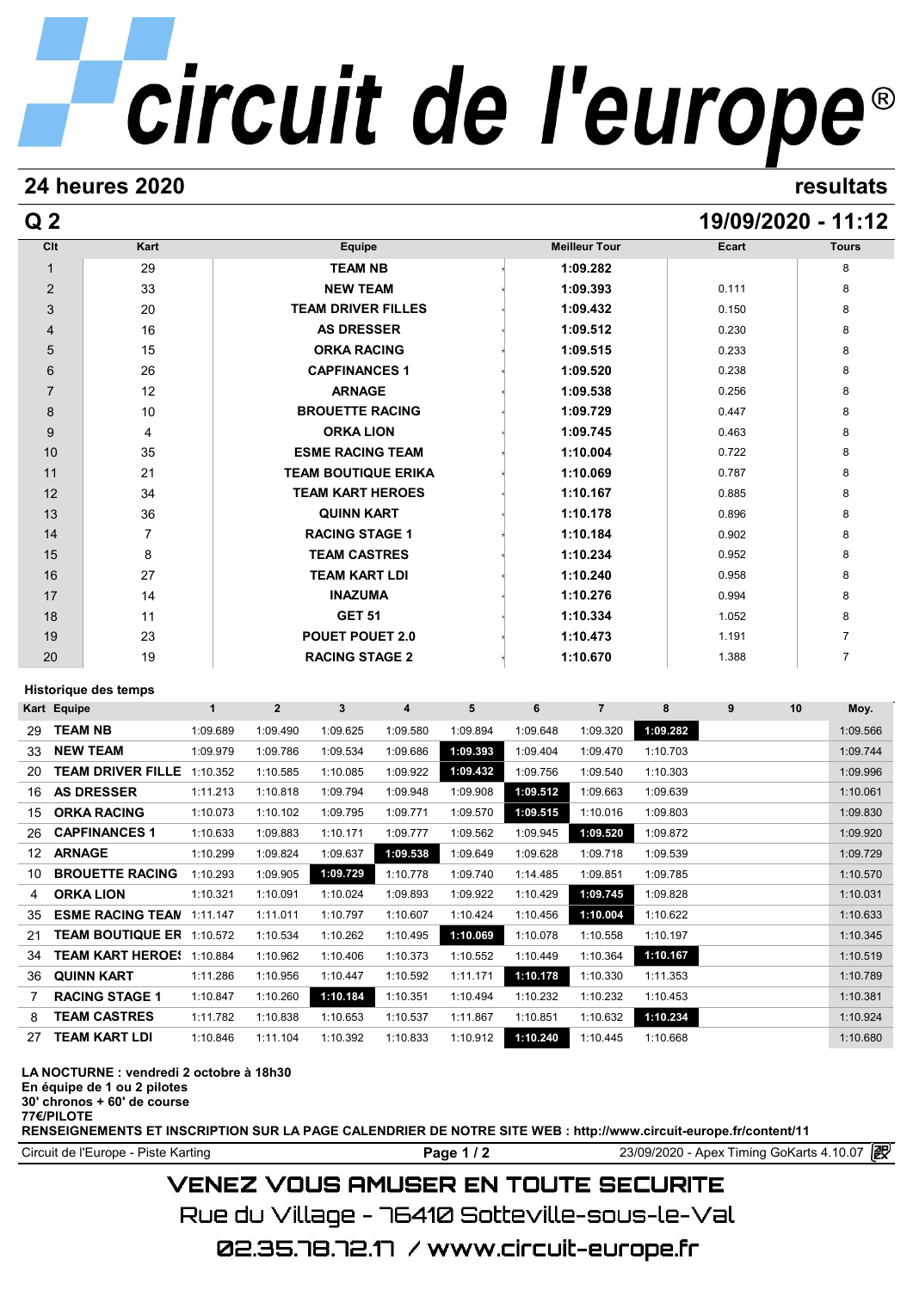# circuit de l'europe®

## **24 heures 2020 resultats**

# **Q 2 19/09/2020 - 11:12**

| Clt                       | Kart | Equipe                     | <b>Meilleur Tour</b> | Ecart | <b>Tours</b> |
|---------------------------|------|----------------------------|----------------------|-------|--------------|
| $\mathbf{1}$              | 29   | <b>TEAM NB</b>             | 1:09.282             |       | 8            |
| $\overline{2}$            | 33   | <b>NEW TEAM</b>            | 1:09.393             | 0.111 | 8            |
| $\ensuremath{\mathsf{3}}$ | 20   | <b>TEAM DRIVER FILLES</b>  | 1:09.432             | 0.150 | 8            |
| $\overline{4}$            | 16   | <b>AS DRESSER</b>          | 1:09.512             | 0.230 | 8            |
| 5                         | 15   | <b>ORKA RACING</b>         | 1:09.515             | 0.233 | 8            |
| $\,6\,$                   | 26   | <b>CAPFINANCES 1</b>       | 1:09.520             | 0.238 | 8            |
| $\overline{7}$            | 12   | <b>ARNAGE</b>              | 1:09.538             | 0.256 | 8            |
| 8                         | 10   | <b>BROUETTE RACING</b>     | 1:09.729             | 0.447 | 8            |
| 9                         | 4    | <b>ORKA LION</b>           | 1:09.745             | 0.463 | 8            |
| 10                        | 35   | <b>ESME RACING TEAM</b>    | 1:10.004             | 0.722 | 8            |
| 11                        | 21   | <b>TEAM BOUTIQUE ERIKA</b> | 1:10.069             | 0.787 | 8            |
| 12                        | 34   | <b>TEAM KART HEROES</b>    | 1:10.167             | 0.885 | 8            |
| 13                        | 36   | <b>QUINN KART</b>          | 1:10.178             | 0.896 | 8            |
| 14                        | 7    | <b>RACING STAGE 1</b>      | 1:10.184             | 0.902 | 8            |
| 15                        | 8    | <b>TEAM CASTRES</b>        | 1:10.234             | 0.952 | 8            |
| 16                        | 27   | <b>TEAM KART LDI</b>       | 1:10.240             | 0.958 | 8            |
| 17                        | 14   | <b>INAZUMA</b>             | 1:10.276             | 0.994 | 8            |
| 18                        | 11   | <b>GET 51</b>              | 1:10.334             | 1.052 | 8            |
| 19                        | 23   | <b>POUET POUET 2.0</b>     | 1:10.473             | 1.191 | 7            |
| 20                        | 19   | <b>RACING STAGE 2</b>      | 1:10.670             | 1.388 | 7            |

### **Historique des temps**

| Historique des temps |                          |          |                |          |          |          |          |                |          |   |    |          |
|----------------------|--------------------------|----------|----------------|----------|----------|----------|----------|----------------|----------|---|----|----------|
|                      | Kart Equipe              | 1        | $\overline{2}$ | 3        | 4        | 5        | 6        | $\overline{7}$ | 8        | 9 | 10 | Moy.     |
| 29                   | <b>TEAM NB</b>           | 1:09.689 | 1:09.490       | 1:09.625 | 1:09.580 | 1:09.894 | 1:09.648 | 1:09.320       | 1:09.282 |   |    | 1:09.566 |
| 33                   | <b>NEW TEAM</b>          | 1:09.979 | 1:09.786       | 1:09.534 | 1:09.686 | 1:09.393 | 1:09.404 | 1:09.470       | 1:10.703 |   |    | 1:09.744 |
| 20                   | <b>TEAM DRIVER FILLE</b> | 1:10.352 | 1:10.585       | 1:10.085 | 1:09.922 | 1:09.432 | 1:09.756 | 1:09.540       | 1:10.303 |   |    | 1:09.996 |
| 16                   | <b>AS DRESSER</b>        | 1:11.213 | 1:10.818       | 1:09.794 | 1:09.948 | 1:09.908 | 1:09.512 | 1:09.663       | 1:09.639 |   |    | 1:10.061 |
| 15                   | <b>ORKA RACING</b>       | 1:10.073 | 1:10.102       | 1:09.795 | 1:09.771 | 1:09.570 | 1:09.515 | 1:10.016       | 1:09.803 |   |    | 1:09.830 |
| 26                   | <b>CAPFINANCES 1</b>     | 1:10.633 | 1:09.883       | 1:10.171 | 1:09.777 | 1:09.562 | 1:09.945 | 1:09.520       | 1:09.872 |   |    | 1:09.920 |
| 12                   | <b>ARNAGE</b>            | 1:10.299 | 1:09.824       | 1:09.637 | 1:09.538 | 1:09.649 | 1:09.628 | 1:09.718       | 1:09.539 |   |    | 1:09.729 |
| 10                   | <b>BROUETTE RACING</b>   | 1:10.293 | 1:09.905       | 1:09.729 | 1:10.778 | 1:09.740 | 1:14.485 | 1:09.851       | 1:09.785 |   |    | 1:10.570 |
| 4                    | <b>ORKA LION</b>         | 1:10.321 | 1:10.091       | 1:10.024 | 1:09.893 | 1:09.922 | 1:10.429 | 1:09.745       | 1:09.828 |   |    | 1:10.031 |
| 35                   | <b>ESME RACING TEAN</b>  | 1:11.147 | 1:11.011       | 1:10.797 | 1:10.607 | 1:10.424 | 1:10.456 | 1:10.004       | 1:10.622 |   |    | 1:10.633 |
| 21                   | <b>TEAM BOUTIQUE ER</b>  | 1:10.572 | 1:10.534       | 1:10.262 | 1:10.495 | 1:10.069 | 1:10.078 | 1:10.558       | 1:10.197 |   |    | 1:10.345 |
| 34                   | <b>TEAM KART HEROE!</b>  | 1:10.884 | 1:10.962       | 1:10.406 | 1:10.373 | 1:10.552 | 1:10.449 | 1:10.364       | 1:10.167 |   |    | 1:10.519 |
| 36                   | <b>QUINN KART</b>        | 1:11.286 | 1:10.956       | 1:10.447 | 1:10.592 | 1:11.171 | 1:10.178 | 1:10.330       | 1:11.353 |   |    | 1:10.789 |
|                      | <b>RACING STAGE 1</b>    | 1:10.847 | 1:10.260       | 1:10.184 | 1:10.351 | 1:10.494 | 1:10.232 | 1:10.232       | 1:10.453 |   |    | 1:10.381 |
| 8                    | <b>TEAM CASTRES</b>      | 1:11.782 | 1:10.838       | 1:10.653 | 1:10.537 | 1:11.867 | 1:10.851 | 1:10.632       | 1:10.234 |   |    | 1:10.924 |
| 27                   | <b>TEAM KART LDI</b>     | 1:10.846 | 1:11.104       | 1:10.392 | 1:10.833 | 1:10.912 | 1:10.240 | 1:10.445       | 1:10.668 |   |    | 1:10.680 |

#### **LA NOCTURNE : vendredi 2 octobre à 18h30**

**En équipe de 1 ou 2 pilotes**

**30' chronos + 60' de course 77€/PILOTE**

**RENSEIGNEMENTS ET INSCRIPTION SUR LA PAGE CALENDRIER DE NOTRE SITE WEB : http://www.circuit-europe.fr/content/11**

Circuit de l'Europe - Piste Karting **Page 1 / 2 Page 1 / 2** 23/09/2020 - Apex Timing GoKarts 4.10.07

# **VENEZ VOUS AMUSER EN TOUTE SECURITE**

Rue du Village – 76410 Sotteville-sous-le-Val

02.35.78.72.17 / www.circuit-europe.fr